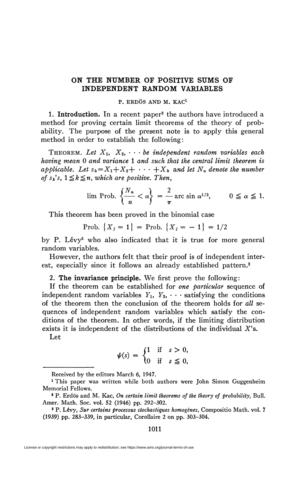## **ON THE NUMBER OF POSITIVE SUMS OF INDEPENDENT RANDOM VARIABLES**

## P. ERDÖS AND M. KAC<sup>1</sup>

1. Introduction. In a recent paper<sup>2</sup> the authors have introduced a method for proving certain limit theorems of the theory of probability. The purpose of the present note is to apply this general method in order to establish the following:

THEOREM. Let  $X_1, X_2, \cdots$  be independent random variables each *having mean* 0 *and variance* 1 *and such that the central limit theorem is applicable.* Let  $s_k = X_1 + X_2 + \cdots + X_k$  and let  $N_n$  denote the number *of s<sub>k</sub>*'s,  $1 \leq k \leq n$ , which are positive. Then,

$$
\lim \text{Prob. } \left\{ \frac{N_n}{n} < \alpha \right\} = \frac{2}{\pi} \arcsin \alpha^{1/2}, \qquad 0 \leq \alpha \leq 1.
$$

This theorem has been proved in the binomial case

$$
Prob. \{X_i = 1\} = Prob. \{X_i = -1\} = 1/2
$$

by P. Lévy<sup>3</sup> who also indicated that it is true for more general random variables.

However, the authors felt that their proof is of independent interest, especially since it follows an already established pattern.<sup>2</sup>

2. **The invariance principle.** We first prove the following:

If the theorem can be established for *one particular* sequence of independent random variables  $Y_1$ ,  $Y_2$ ,  $\cdots$  satisfying the conditions of the theorem then the conclusion of the theorem holds for *all* sequences of independent random variables which satisfy the conditions of the theorem. In other words, if the limiting distribution exists it is independent of the distributions of the individual X's.

Let

$$
\psi(s) = \begin{cases} 1 & \text{if } s > 0, \\ 0 & \text{if } s \leq 0, \end{cases}
$$

1011

Received by the editors March 6, 1947.

<sup>&</sup>lt;sup>1</sup> This paper was written while both authors were John Simon Guggenheim Memorial Fellows.

<sup>2</sup> P. Erdös and M. Kac, *On certain limit theorems of the theory of probability,* Bull. Amer. Math. Soc. vol. 52 (1946) pp. 292-302.

<sup>3</sup> P. Levy, *Sur certains processus stochastiques homogènes,* Compositio Math. vol. 7 (1939) pp. 283-339, in particular, Corollaire 2 on pp. 303-304.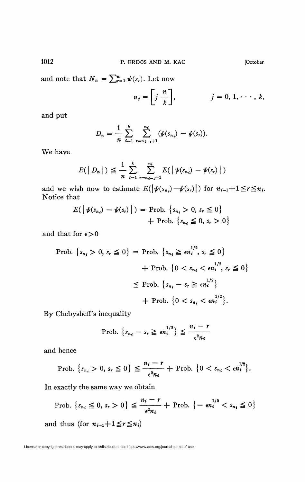and note that  $N_n = \sum_{r=1}^n \psi(s_r)$ . Let now

$$
n_j=\left[\begin{array}{cc}j&\;n\\j&\;k\end{array}\right],\qquad j=0,\,1,\,\cdots,\,k,
$$

and put

$$
D_n = \frac{1}{n} \sum_{i=1}^k \sum_{r=n_{i-1}+1}^{n_i} (\psi(s_{n_i}) - \psi(s_r)).
$$

We have

$$
E(\big| D_n \big|) \leqq \frac{1}{n} \sum_{i=1}^k \sum_{r=n_{i-1}+1}^{n_i} E(\big| \psi(s_{n_i}) - \psi(s_r) \big|)
$$

and we wish now to estimate  $E(|\psi(s_{n_i}) - \psi(s_{n_i})|)$  for  $n_{i-1}+1 \leq r \leq n_i$ . Notice that

$$
E(|\psi(s_{n_i}) - \psi(s_r)|) = \text{Prob.} \{s_{n_i} > 0, s_r \le 0\} + \text{Prob.} \{s_{n_i} \le 0, s_r > 0\}
$$

and that for  $\epsilon > 0$ 

Prob. 
$$
\{s_{n_i} > 0, s_r \leq 0\}
$$
 = Prob.  $\{s_{n_i} \geq \epsilon n_i^{1/2}, s_r \leq 0\}$ 

\n $+ \text{Prob. } \{0 < s_{n_i} < \epsilon n_i^{1/2}, s_r \leq 0\}$ 

\n $\leq \text{Prob. } \{s_{n_i} - s_r \geq \epsilon n_i^{1/2}\}$ 

\n $+ \text{Prob. } \{0 < s_{n_i} < \epsilon n_i^{1/2}\}.$ 

By Chebysheff's inequality

$$
\text{Prob. } \left\{ s_{n_i} - s_r \geq \epsilon n_i^{1/2} \right\} \leq \frac{n_i - r}{\epsilon^2 n_i}
$$

and hence

$$
\text{Prob.} \left\{ s_{n_i} > 0, \, s_r \leq 0 \right\} \leq \frac{n_i - r}{\epsilon^2 n_i} + \text{Prob.} \left\{ 0 < s_{n_i} < \epsilon n_i^{1/2} \right\}.
$$

In exactly the same way we obtain

$$
\text{Prob.} \left\{ s_{n_i} \leq 0, s_r > 0 \right\} \leq \frac{n_i - r}{\epsilon^2 n_i} + \text{Prob.} \left\{ -\epsilon n_i^{1/2} < s_{n_i} \leq 0 \right\}
$$

and thus (for  $n_{i-1}+1 \leq r \leq n_i$ )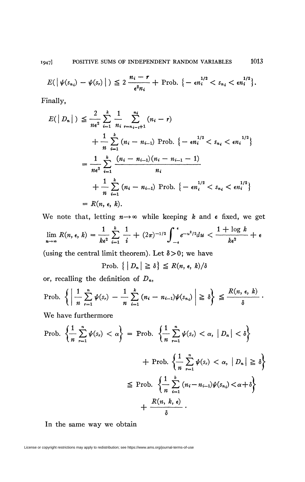$$
E(\left|\left|\psi(s_{n_i})-\psi(s_{r})\right|\right)\leq 2\frac{n_i-r}{\epsilon^2n_i}+\text{Prob.}\left\{-\epsilon n_i^{1/2}
$$

Finally,

$$
E(|D_n|) \leq \frac{2}{n\epsilon^2} \sum_{i=1}^k \frac{1}{n_i} \sum_{r=n_{i-1}+1}^{n_i} (n_i - r)
$$
  
+ 
$$
\frac{1}{n} \sum_{i=1}^k (n_i - n_{i-1}) \text{ Prob. } \{-\epsilon n_i^{1/2} < s_{n_i} < \epsilon n_i^{1/2}\}
$$
  
= 
$$
\frac{1}{n\epsilon^2} \sum_{i=1}^k \frac{(n_i - n_{i-1})(n_i - n_{i-1} - 1)}{n_i}
$$
  
+ 
$$
\frac{1}{n} \sum_{i=1}^k (n_i - n_{i-1}) \text{ Prob. } \{-\epsilon n_i^{1/2} < s_{n_i} < \epsilon n_i^{1/2}\}
$$
  
= 
$$
R(n, \epsilon, k).
$$

We note that, letting  $n \rightarrow \infty$  while keeping k and  $\epsilon$  fixed, we get

$$
\lim_{n\to\infty} R(n,\epsilon,\,k) = \frac{1}{k\epsilon^2} \sum_{i=1}^k \frac{1}{i} + (2\pi)^{-1/2} \int_{-\epsilon}^{\epsilon} e^{-u^2/2} du < \frac{1+\log k}{k\epsilon^2} + \epsilon
$$

(using the central limit theorem). Let  $\delta > 0$ ; we have

Prob.  $\{|D_n| \geq \delta\} \leq R(n, \epsilon, k)/\delta$ 

or, recalling the definition of  $D_n$ ,

$$
\text{Prob. } \left\{ \left| \frac{1}{n} \sum_{r=1}^{n} \psi(s_r) - \frac{1}{n} \sum_{i=1}^{k} (n_i - n_{i-1}) \psi(s_{n_i}) \right| \geq \delta \right\} \leq \frac{R(n, \epsilon, k)}{\delta}.
$$

We have furthermore

$$
\begin{aligned} \text{Prob. } \left\{ \frac{1}{n} \sum_{r=1}^{n} \psi(s_r) < \alpha \right\} &= \text{Prob. } \left\{ \frac{1}{n} \sum_{r=1}^{n} \psi(s_r) < \alpha, \, |D_n| < \delta \right\} \\ &+ \text{Prob. } \left\{ \frac{1}{n} \sum_{r=1}^{n} \psi(s_r) < \alpha, \, |D_n| \geq \delta \right\} \\ &\leq \text{Prob. } \left\{ \frac{1}{n} \sum_{i=1}^{k} (n_i - n_{i-1}) \psi(s_n) < \alpha + \delta \right\} \\ &+ \frac{R(n, \, k, \, \epsilon)}{\delta} \,. \end{aligned}
$$

In the same way we obtain

License or copyright restrictions may apply to redistribution; see https://www.ams.org/journal-terms-of-use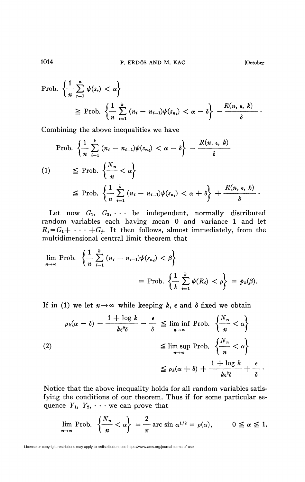$$
\begin{aligned} \text{Prob. } \left\{ \frac{1}{n} \sum_{r=1}^{n} \psi(s_r) < \alpha \right\} \\ &\geq \text{Prob. } \left\{ \frac{1}{n} \sum_{i=1}^{k} \left( n_i - n_{i-1} \right) \psi(s_{n_i}) < \alpha - \delta \right\} - \frac{R(n, \epsilon, k)}{\delta} \end{aligned}
$$

Combining the above inequalities we have

$$
\begin{aligned}\n\text{Prob.} \left\{ \frac{1}{n} \sum_{i=1}^{k} (n_i - n_{i-1}) \psi(s_{n_i}) < \alpha - \delta \right\} - \frac{R(n, \epsilon, k)}{\delta} \\
\text{(1)} \quad &\leq \text{Prob.} \left\{ \frac{N_n}{n} < \alpha \right\} \\
&\leq \text{Prob.} \left\{ \frac{1}{n} \sum_{i=1}^{k} (n_i - n_{i-1}) \psi(s_{n_i}) < \alpha + \delta \right\} + \frac{R(n, \epsilon, k)}{\delta} \,. \end{aligned}
$$

Let now  $G_1, G_2, \cdots$  be independent, normally distributed random variables each having mean 0 and variance 1 and let  $R_j = G_1 + \cdots + G_j$ . It then follows, almost immediately, from the multidimensional central limit theorem that

$$
\lim_{n \to \infty} \text{Prob. } \left\{ \frac{1}{n} \sum_{i=1}^{k} (n_i - n_{i-1}) \psi(s_{n_i}) < \beta \right\} \\
= \text{Prob. } \left\{ \frac{1}{k} \sum_{i=1}^{k} \psi(R_i) < \rho \right\} = p_k(\beta).
$$

If in (1) we let  $n \rightarrow \infty$  while keeping k, e and  $\delta$  fixed we obtain

$$
\rho_k(\alpha - \delta) - \frac{1 + \log k}{k\epsilon^2 \delta} - \frac{\epsilon}{\delta} \le \liminf_{n \to \infty} \text{Prob. } \left\{ \frac{N_n}{n} < \alpha \right\}
$$
\n
$$
\le \limsup_{n \to \infty} \text{Prob. } \left\{ \frac{N_n}{n} < \alpha \right\}
$$
\n
$$
\le \rho_k(\alpha + \delta) + \frac{1 + \log k}{k\epsilon^2 \delta} + \frac{\epsilon}{\delta}
$$

Notice that the above inequality holds for all random variables satisfying the conditions of our theorem. Thus if for some particular sequence  $Y_1$ ,  $Y_2$ ,  $\cdots$  we can prove that

$$
\lim_{n \to \infty} \text{Prob. } \left\{ \frac{N_n}{n} < \alpha \right\} = \frac{2}{\pi} \arcsin \alpha^{1/2} = \rho(\alpha), \qquad 0 \leq \alpha \leq 1,
$$

1014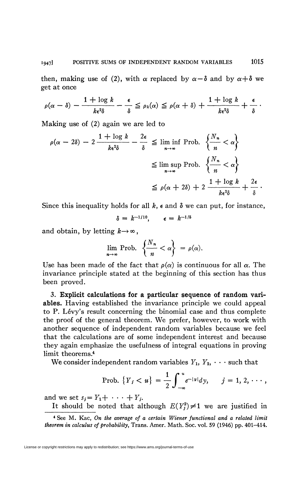then, making use of (2), with  $\alpha$  replaced by  $\alpha - \delta$  and by  $\alpha + \delta$  we get at once

$$
\rho(\alpha-\delta)-\frac{1+\log k}{k\epsilon^2\delta}-\frac{\epsilon}{\delta}\leq\rho_k(\alpha)\leq\rho(\alpha+\delta)+\frac{1+\log k}{k\epsilon^2\delta}+\frac{\epsilon}{\delta}.
$$

Making use of (2) again we are led to

$$
\rho(\alpha - 2\delta) - 2 \frac{1 + \log k}{k\epsilon^2 \delta} - \frac{2\epsilon}{\delta} \le \liminf_{n \to \infty} \text{Prob. } \left\{ \frac{N_n}{n} < \alpha \right\}
$$
\n
$$
\le \limsup_{n \to \infty} \text{Prob. } \left\{ \frac{N_n}{n} < \alpha \right\}
$$
\n
$$
\le \rho(\alpha + 2\delta) + 2 \frac{1 + \log k}{k\epsilon^2 \delta} + \frac{2\epsilon}{\delta}.
$$

Since this inequality holds for all  $k$ ,  $\epsilon$  and  $\delta$  we can put, for instance,

$$
\delta = k^{-1/10}, \qquad \epsilon = k^{-1/5}
$$

and obtain, by letting  $k \rightarrow \infty$ ,

$$
\lim_{n\to\infty}\text{Prob. }\left\{\frac{N_n}{n}<\alpha\right\}=\rho(\alpha).
$$

Use has been made of the fact that  $\rho(\alpha)$  is continuous for all  $\alpha$ . The invariance principle stated at the beginning of this section has thus been proved.

3. **Explicit calculations for a particular sequence of random variables.** Having established the invariance principle we could appeal to P. Levy's result concerning the binomial case and thus complete the proof of the general theorem. We prefer, however, to work with another sequence of independent random variables because we feel that the calculations are of some independent interest and because they again emphasize the usefulness of integral equations in proving limit theorems.<sup>4</sup>

We consider independent random variables  $Y_1, Y_2, \cdots$  such that

Prob. 
$$
\{Y_j < u\} = \frac{1}{2} \int_{-\infty}^{u} e^{-|y|} dy, \quad j = 1, 2, \cdots,
$$

and we set  $s_j = Y_1 + \cdots + Y_j$ .

It should be noted that although  $E(Y_j^2) \neq 1$  we are justified in

<sup>4</sup> See M. Kac, *On the average of a certain Wiener functional and a related limit theorem in calculus of probability,* Trans. Amer. Math. Soc. vol. 59 (1946) pp. 401-414.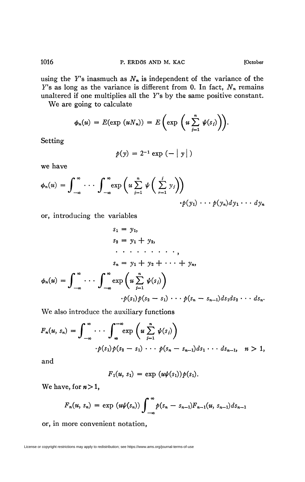using the *Y's* inasmuch as *Nn* is independent of the variance of the  $Y$ 's as long as the variance is different from 0. In fact,  $N_n$  remains unaltered if one multiplies all the F's by the same positive constant.

We are going to calculate

$$
\phi_n(u) = E(\exp(uN_n)) = E\left(\exp\left(u\sum_{j=1}^n \psi(s_j)\right)\right).
$$

Setting

$$
p(y) = 2^{-1} \exp(-|y|)
$$

we have

$$
\phi_n(u) = \int_{-\infty}^{\infty} \cdots \int_{-\infty}^{\infty} \exp\left(u \sum_{j=1}^n \psi\left(\sum_{r=1}^j y_j\right)\right) \cdot p(y_1) \cdots p(y_n) dy_1 \cdots dy_n
$$

or, introducing the variables

$$
s_1 = y_1,
$$
  
\n
$$
s_2 = y_1 + y_2,
$$
  
\n
$$
\cdots \cdots \cdots ,
$$
  
\n
$$
s_n = y_1 + y_2 + \cdots + y_n,
$$
  
\n
$$
\phi_n(u) = \int_{-\infty}^{\infty} \cdots \int_{-\infty}^{\infty} \exp\left(u \sum_{j=1}^n \psi(s_j)\right)
$$
  
\n
$$
\cdot p(s_1) p(s_2 - s_1) \cdots p(s_n - s_{n-1}) ds_1 ds_2 \cdots ds_n.
$$

We also introduce the auxiliary functions

$$
F_n(u, s_n) = \int_{-\infty}^{\infty} \cdots \int_{\infty}^{-\infty} \exp\left(u \sum_{j=1}^n \psi(s_j)\right)
$$
  
 
$$
\cdot p(s_1) p(s_2 - s_1) \cdots p(s_n - s_{n-1}) ds_1 \cdots ds_{n-1}, \quad n > 1,
$$

and

$$
F_1(u, s_1) = \exp (u\psi(s_1)) p(s_1).
$$

We have, for  $n > 1$ ,

$$
F_n(u, s_n) = \exp (u\psi(s_n)) \int_{-\infty}^{\infty} p(s_n - s_{n-1}) F_{n-1}(u, s_{n-1}) ds_{n-1}
$$

or, in more convenient notation,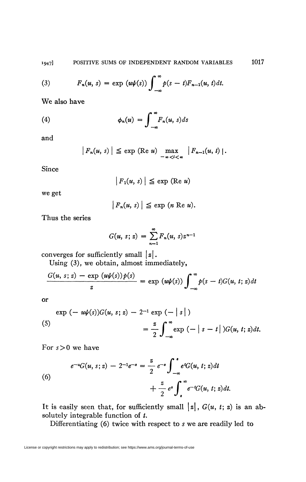(3) 
$$
F_n(u, s) = \exp(u\psi(s)) \int_{-\infty}^{\infty} p(s-t) F_{n-1}(u, t) dt.
$$

We also have

(4) 
$$
\phi_n(u) = \int_{-\infty}^{\infty} F_n(u, s) ds
$$

and

$$
|F_n(u, s)| \leq \exp (\text{Re } u) \max_{-\infty < l < \infty} |F_{n-1}(u, t)|.
$$

**Since** 

$$
|F_1(u, s)| \leq \exp (\text{Re } u)
$$

we get

$$
|F_n(u, s)| \leq \exp(n \operatorname{Re} u).
$$

Thus the series

$$
G(u, s; z) = \sum_{n=1}^{\infty} F_n(u, s) z^{n-1}
$$

converges for sufficiently small  $|z|$ .

Using (3), we obtain, almost immediately,

$$
\frac{G(u, s; z) - \exp(u\psi(s))p(s)}{z} = \exp(u\psi(s))\int_{-\infty}^{\infty} p(s - t)G(u, t; z)dt
$$

or

$$
\exp(-u\psi(s))G(u, s; z) - 2^{-1}\exp(-|s|)
$$
  

$$
= \frac{z}{2}\int_{-\infty}^{\infty}\exp(-|s-t|)G(u, t; z)dt.
$$

For *s >* 0 we have

(6)  

$$
e^{-u}G(u, s; z) - 2^{-1}e^{-s} = \frac{z}{2} e^{-s} \int_{-\infty}^{s} e^{t}G(u, t; z) dt + \frac{z}{2} e^{s} \int_{s}^{\infty} e^{-t}G(u, t; z) dt.
$$

It is easily seen that, for sufficiently small  $\vert z\vert$ ,  $G(u, t; z)$  is an absolutely integrable function of *t.* 

Differentiating (6) twice with respect to *s* we are readily led to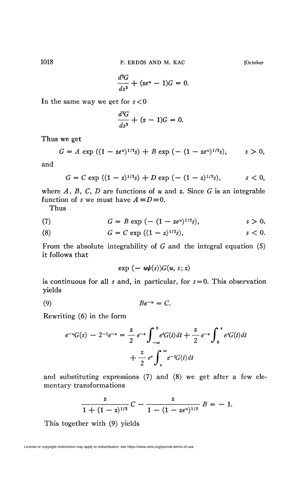**1018 P. ERDÖS AND M. KAC [October** 

$$
\frac{d^2G}{ds^2} + (ze^u - 1)G = 0.
$$

In the same way we get for *s* < 0

$$
\frac{d^2G}{ds^2} + (z-1)G = 0.
$$

Thus we get

$$
G = A \exp ((1 - z e^u)^{1/2} s) + B \exp (- (1 - z e^u)^{1/2} s), \qquad s > 0,
$$

and

$$
G = C \exp ((1-z)^{1/2}s) + D \exp (- (1-z)^{1/2}s), \qquad s < 0,
$$

where *A, B, C, D* are functions of *u* and *z.* Since G is an integrable function of *s* we must have  $A \equiv D \equiv 0$ .

Thus

(7) 
$$
G = B \exp \left(-\left(1 - z e^u\right)^{1/2} s\right), \qquad s > 0,
$$

(8) 
$$
G = C \exp ((1 - z)^{1/2}s), \qquad s < 0.
$$

From the absolute integrability of G and the integral equation (5) it follows that

 $\exp(-u\psi(s))G(u, s; z)$ 

is continuous for all *s* and, in particular, for *s = 0.* This observation yields

$$
(9) \tBe^{-u} = C.
$$

Rewriting (6) in the form

$$
e^{-u}G(s) - 2^{-1}e^{-s} = \frac{z}{2} e^{-s} \int_{-\infty}^{0} e^{t}G(t)dt + \frac{z}{2} e^{-s} \int_{0}^{s} e^{t}G(t)dt + \frac{z}{2} e^{s} \int_{s}^{\infty} e^{-t}G(t)dt
$$

and substituting expressions (7) and (8) we get after a few elementary transformations

$$
\frac{z}{1+(1-z)^{1/2}}C-\frac{z}{1-(1-ze^u)^{1/2}}B=-1.
$$

This together with (9) yields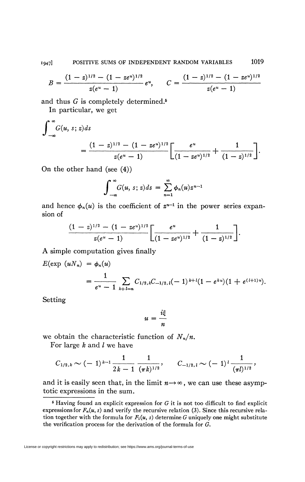$$
B=\frac{(1-z)^{1/2}-(1-ze^u)^{1/2}}{z(e^u-1)}e^u, \qquad C=\frac{(1-z)^{1/2}-(1-ze^u)^{1/2}}{z(e^u-1)}
$$

and thus *G* is completely determined.<sup>5</sup>

In particular, we get

$$
\int_{-\infty}^{\infty} G(u, s; z) ds
$$
  
= 
$$
\frac{(1-z)^{1/2} - (1 - ze^u)^{1/2}}{z(e^u - 1)} \left[ \frac{e^u}{(1 - ze^u)^{1/2}} + \frac{1}{(1-z)^{1/2}} \right].
$$

On the other hand (see (4))

$$
\int_{-\infty}^{\infty} G(u, s; z) ds = \sum_{n=1}^{\infty} \phi_n(u) z^{n-1}
$$

and hence  $\phi_n(u)$  is the coefficient of  $z^{n-1}$  in the power series expansion of

$$
\frac{(1-z)^{1/2}-(1-ze^u)^{1/2}}{z(e^u-1)}\left[\frac{e^u}{(1-ze^u)^{1/2}}+\frac{1}{(1-z)^{1/2}}\right]
$$

A simple computation gives finally

$$
E(\exp (uN_n) = \phi_n(u)
$$
  
= 
$$
\frac{1}{e^u - 1} \sum_{k+l=n} C_{1/2,k} C_{-1/2,l}(-1)^{k+l} (1 - e^{ku})(1 + e^{(l+1)u}).
$$

Setting

$$
u=\frac{i\xi}{n}
$$

we obtain the characteristic function of  $N_n/n$ .

For large *k* and / we have

$$
C_{1/2,k} \sim (-1)^{k-1} \frac{1}{2k-1} \frac{1}{(\pi k)^{1/2}}, \qquad C_{-1/2,k} \sim (-1)^k \frac{1}{(\pi k)^{1/2}},
$$

and it is easily seen that, in the limit  $n \rightarrow \infty$ , we can use these asymptotic expressions in the sum.

*<sup>6</sup>* Having found an explicit expression for *G* it is not too difficult to find explicit expressions for  $F_n(u, s)$  and verify the recursive relation (3). Since this recursive relation together with the formula for  $F_1(u, s)$  determine G uniquely one might substitute the verification process for the derivation of the formula for *G.*